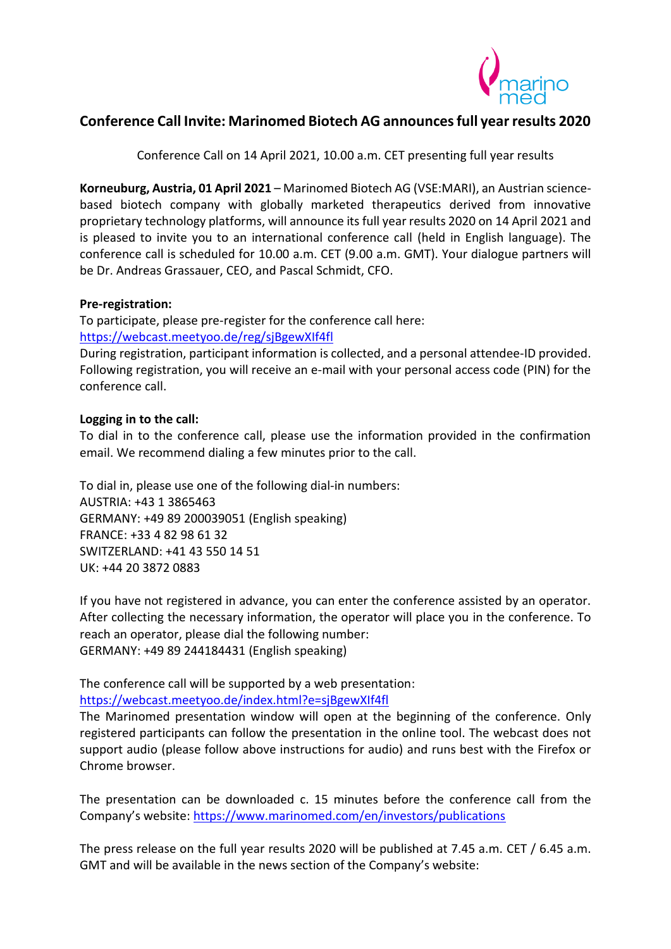

# **Conference Call Invite: Marinomed Biotech AG announces full year results 2020**

Conference Call on 14 April 2021, 10.00 a.m. CET presenting full year results

**Korneuburg, Austria, 01 April 2021** – Marinomed Biotech AG (VSE:MARI), an Austrian sciencebased biotech company with globally marketed therapeutics derived from innovative proprietary technology platforms, will announce its full year results 2020 on 14 April 2021 and is pleased to invite you to an international conference call (held in English language). The conference call is scheduled for 10.00 a.m. CET (9.00 a.m. GMT). Your dialogue partners will be Dr. Andreas Grassauer, CEO, and Pascal Schmidt, CFO.

### **Pre-registration:**

To participate, please pre-register for the conference call here: <https://webcast.meetyoo.de/reg/sjBgewXIf4fl>

During registration, participant information is collected, and a personal attendee-ID provided. Following registration, you will receive an e-mail with your personal access code (PIN) for the conference call.

## **Logging in to the call:**

To dial in to the conference call, please use the information provided in the confirmation email. We recommend dialing a few minutes prior to the call.

To dial in, please use one of the following dial-in numbers: AUSTRIA: +43 1 3865463 GERMANY: +49 89 200039051 (English speaking) FRANCE: +33 4 82 98 61 32 SWITZERLAND: +41 43 550 14 51 UK: +44 20 3872 0883

If you have not registered in advance, you can enter the conference assisted by an operator. After collecting the necessary information, the operator will place you in the conference. To reach an operator, please dial the following number: GERMANY: +49 89 244184431 (English speaking)

The conference call will be supported by a web presentation:

<https://webcast.meetyoo.de/index.html?e=sjBgewXIf4fl>

The Marinomed presentation window will open at the beginning of the conference. Only registered participants can follow the presentation in the online tool. The webcast does not support audio (please follow above instructions for audio) and runs best with the Firefox or Chrome browser.

The presentation can be downloaded c. 15 minutes before the conference call from the Company's website: <https://www.marinomed.com/en/investors/publications>

The press release on the full year results 2020 will be published at 7.45 a.m. CET / 6.45 a.m. GMT and will be available in the news section of the Company's website: